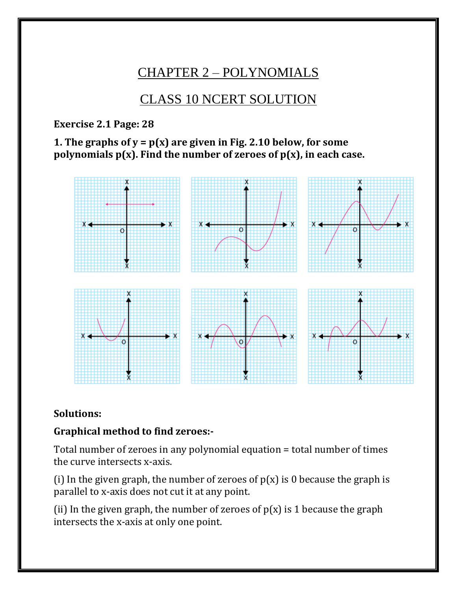# CHAPTER 2 – POLYNOMIALS

# CLASS 10 NCERT SOLUTION

**Exercise 2.1 Page: 28**

**1. The graphs of y = p(x) are given in Fig. 2.10 below, for some polynomials p(x). Find the number of zeroes of p(x), in each case.**



#### **Solutions:**

#### **Graphical method to find zeroes:-**

Total number of zeroes in any polynomial equation = total number of times the curve intersects x-axis.

(i) In the given graph, the number of zeroes of  $p(x)$  is 0 because the graph is parallel to x-axis does not cut it at any point.

(ii) In the given graph, the number of zeroes of  $p(x)$  is 1 because the graph intersects the x-axis at only one point.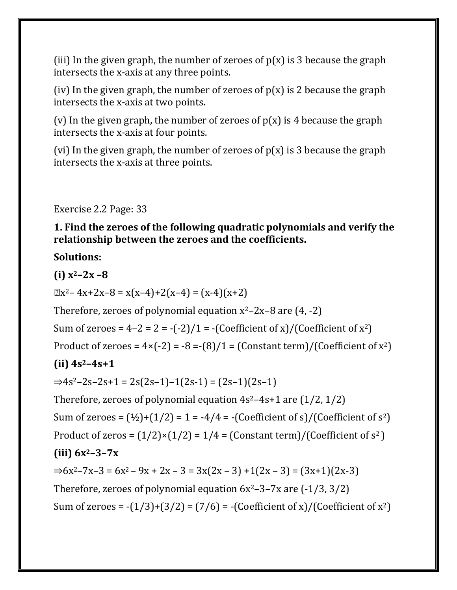(iii) In the given graph, the number of zeroes of  $p(x)$  is 3 because the graph intersects the x-axis at any three points.

(iv) In the given graph, the number of zeroes of  $p(x)$  is 2 because the graph intersects the x-axis at two points.

(v) In the given graph, the number of zeroes of  $p(x)$  is 4 because the graph intersects the x-axis at four points.

(vi) In the given graph, the number of zeroes of  $p(x)$  is 3 because the graph intersects the x-axis at three points.

Exercise 2.2 Page: 33

**1. Find the zeroes of the following quadratic polynomials and verify the relationship between the zeroes and the coefficients.**

#### **Solutions:**

**(i) x2–2x –8**

 $\mathbb{R}X^2 - 4X + 2X - 8 = X(X-4) + 2(X-4) = (X-4)(X+2)$ 

Therefore, zeroes of polynomial equation  $x^2-2x-8$  are  $(4, -2)$ 

Sum of zeroes =  $4-2 = 2 = -(-2)/1 = -$  (Coefficient of x)/(Coefficient of x<sup>2</sup>)

Product of zeroes =  $4 \times (-2) = -8 = -(8)/1 = (Constant term)/(Coefficient of x<sup>2</sup>)$ 

#### **(ii) 4s2–4s+1**

 $\Rightarrow$ 4s<sup>2</sup>–2s–2s+1 = 2s(2s–1)–1(2s-1) = (2s–1)(2s–1)

Therefore, zeroes of polynomial equation  $4s^2-4s+1$  are  $(1/2, 1/2)$ 

Sum of zeroes =  $(\frac{1}{2})+(\frac{1}{2}) = 1 = -\frac{4}{4} = -$  (Coefficient of s)/(Coefficient of s<sup>2</sup>)

Product of zeros =  $(1/2) \times (1/2) = 1/4 =$  (Constant term)/(Coefficient of  $s^2$ )

#### **(iii) 6x2–3–7x**

 $\Rightarrow$  6x<sup>2</sup>-7x-3 = 6x<sup>2</sup>-9x + 2x - 3 = 3x(2x - 3) + 1(2x - 3) = (3x+1)(2x-3) Therefore, zeroes of polynomial equation  $6x^2-3-7x$  are  $(-1/3, 3/2)$ Sum of zeroes =  $-(1/3)+(3/2) = (7/6) = -(Coefficient of x)/(Coefficient of x<sup>2</sup>)$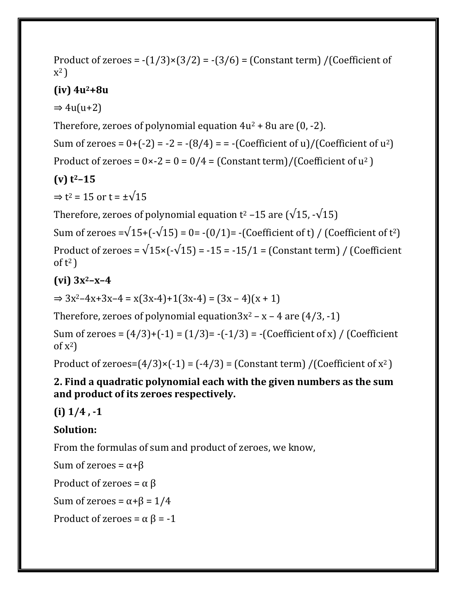Product of zeroes =  $-(1/3) \times (3/2) = -(3/6) =$  (Constant term) /(Coefficient of x 2 )

### **(iv) 4u2+8u**

 $\Rightarrow$  4u(u+2)

Therefore, zeroes of polynomial equation  $4u^2 + 8u$  are  $(0, -2)$ .

Sum of zeroes =  $0+(-2) = -2 = -(8/4) = -$  (Coefficient of u)/(Coefficient of u<sup>2</sup>)

Product of zeroes =  $0 \times -2 = 0 = 0/4 = (Constant term)/(Coefficient of u<sup>2</sup>)$ 

# **(v) t2–15**

 $\Rightarrow$  t<sup>2</sup> = 15 or t =  $\pm\sqrt{15}$ 

Therefore, zeroes of polynomial equation  $t^2$  –15 are ( $\sqrt{15}$ , - $\sqrt{15}$ )

Sum of zeroes = $\sqrt{15}$ + $(-\sqrt{15})$  = 0= - $(0/1)$ = - $($ Coefficient of t $)$  / $($ Coefficient of t<sup>2</sup> $)$ Product of zeroes =  $\sqrt{15}$ ×(- $\sqrt{15}$ ) = -15 = -15/1 = (Constant term) / (Coefficient of  $t^2$ )

## **(vi) 3x2–x–4**

 $\Rightarrow 3x^2-4x+3x-4 = x(3x-4)+1(3x-4) = (3x-4)(x+1)$ 

Therefore, zeroes of polynomial equation $3x^2 - x - 4$  are  $(4/3, -1)$ 

Sum of zeroes =  $(4/3)+(1) = (1/3) = -(-1/3) = -$  (Coefficient of x) / (Coefficient of  $x^2$ )

Product of zeroes= $(4/3)$ × $(-1)$  =  $(-4/3)$  =  $(Constant term)$  / $(Coefficient of x<sup>2</sup>)$ 

#### **2. Find a quadratic polynomial each with the given numbers as the sum and product of its zeroes respectively.**

**(i) 1/4 , -1**

## **Solution:**

From the formulas of sum and product of zeroes, we know,

Sum of zeroes =  $α+β$ 

Product of zeroes =  $\alpha \beta$ 

Sum of zeroes =  $α+β = 1/4$ 

Product of zeroes =  $\alpha \beta$  = -1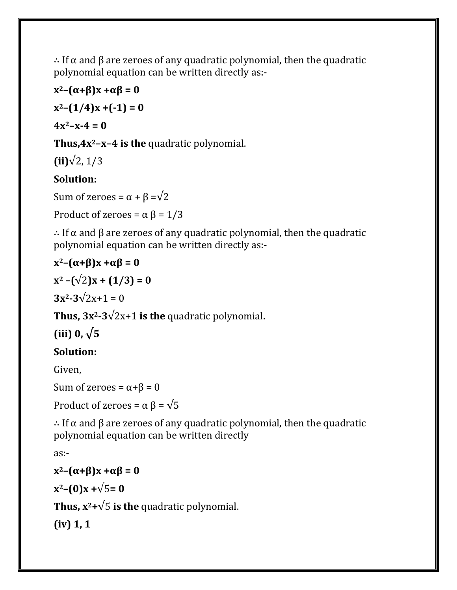∴ If α and β are zeroes of any quadratic polynomial, then the quadratic polynomial equation can be written directly as:-

 $x^2 - (\alpha + \beta)x + \alpha\beta = 0$ 

 $x^2 - (1/4)x + (-1) = 0$ 

 $4x^2 - x - 4 = 0$ 

**Thus,4x2–x–4 is the** quadratic polynomial.

**(ii)**√2, 1/3

# **Solution:**

Sum of zeroes =  $\alpha + \beta = \sqrt{2}$ 

Product of zeroes =  $\alpha \beta$  = 1/3

∴ If α and β are zeroes of any quadratic polynomial, then the quadratic polynomial equation can be written directly as:-

## $x^2 - (\alpha + \beta)x + \alpha\beta = 0$

 $x^2 - (\sqrt{2})x + (1/3) = 0$ 

 $3x^2 - 3\sqrt{2x+1} = 0$ 

**Thus,**  $3x^2-3\sqrt{2x+1}$  **is the quadratic polynomial.** 

**(iii) 0, √5**

## **Solution:**

Given,

Sum of zeroes =  $\alpha + \beta = 0$ 

Product of zeroes =  $\alpha \beta = \sqrt{5}$ 

∴ If α and β are zeroes of any quadratic polynomial, then the quadratic polynomial equation can be written directly

as:-

 $x^2 - (\alpha + \beta)x + \alpha\beta = 0$  $x^2 - (0)x + \sqrt{5} = 0$ 

**Thus,**  $x^2 + \sqrt{5}$  **is the quadratic polynomial.** 

**(iv) 1, 1**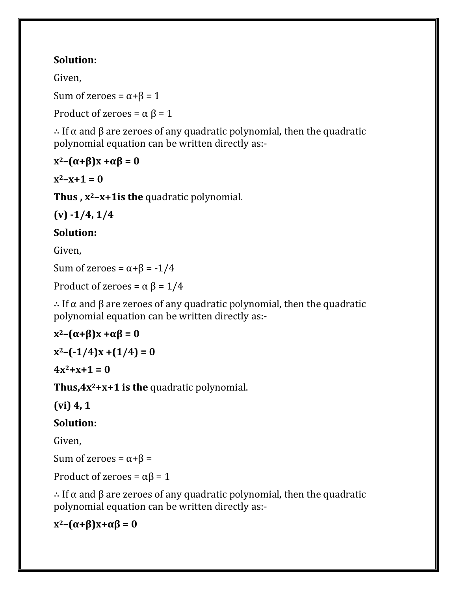### **Solution:**

Given,

Sum of zeroes =  $\alpha + \beta = 1$ 

Product of zeroes =  $\alpha \beta$  = 1

∴ If α and β are zeroes of any quadratic polynomial, then the quadratic polynomial equation can be written directly as:-

### $x^2 - (\alpha + \beta)x + \alpha\beta = 0$

 $x^2 - x + 1 = 0$ 

**Thus , x2–x+1is the** quadratic polynomial.

**(v) -1/4, 1/4**

## **Solution:**

Given,

Sum of zeroes =  $\alpha + \beta$  = -1/4

Product of zeroes =  $\alpha \beta$  = 1/4

∴ If α and β are zeroes of any quadratic polynomial, then the quadratic polynomial equation can be written directly as:-

$$
x^2-(\alpha+\beta)x+\alpha\beta=0
$$

 $x^2 - (-1/4)x + (1/4) = 0$ 

 $4x^2 + x + 1 = 0$ 

**Thus,4x2+x+1 is the** quadratic polynomial.

**(vi) 4, 1**

### **Solution:**

Given,

Sum of zeroes =  $α+β$  =

Product of zeroes =  $\alpha\beta$  = 1

∴ If α and β are zeroes of any quadratic polynomial, then the quadratic polynomial equation can be written directly as:-

**x2–(α+β)x+αβ = 0**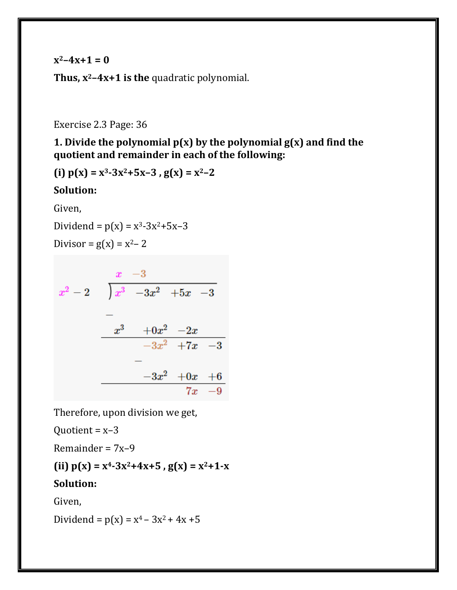$x^2 - 4x + 1 = 0$ 

**Thus, x2–4x+1 is the** quadratic polynomial.

Exercise 2.3 Page: 36

**1. Divide the polynomial p(x) by the polynomial g(x) and find the quotient and remainder in each of the following:**

**(i) p(x) = x3-3x2+5x–3 , g(x) = x2–2**

**Solution:**

Given,

Dividend =  $p(x) = x^3-3x^2+5x-3$ 

Divisor =  $g(x) = x^2-2$ 

$$
\begin{array}{r}\n x -3 \\
 x^2 - 2 \\
 \hline\n -\phantom{+} \\
 -\phantom{+} \\
 x^3 -3x^2 +5x -3 \\
 \hline\n -\phantom{+} \\
 -3x^2 +7x -3 \\
 \hline\n -\phantom{+} \\
 -3x^2 +9x +6 \\
 \hline\n 7x -9\n \end{array}
$$

Therefore, upon division we get,

Ouotient =  $x-3$ 

Remainder = 7x–9

(ii)  $p(x) = x^4-3x^2+4x+5$ ,  $g(x) = x^2+1-x$ 

#### **Solution:**

Given,

Dividend =  $p(x) = x^4 - 3x^2 + 4x + 5$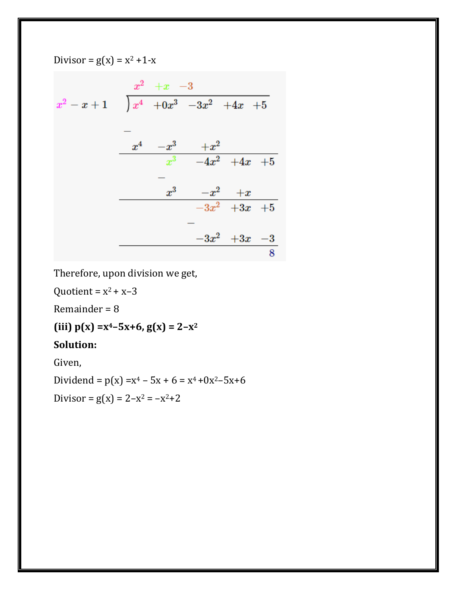$$
\begin{array}{r}\nx^2 - x + 1 \\
x^2 - x + 1\n\end{array}\n\quad\n\begin{array}{r}\n\begin{array}{r}\nx^2 + x - 3 \\
+0x^3 - 3x^2 + 4x + 5\n\end{array} \\
-\begin{array}{r}\nx^4 - x^3 + x^2 \\
x^3 - 4x^2 + 4x + 5\n\end{array} \\
-\begin{array}{r}\nx^3 - x^2 + x \\
-3x^2 + 3x + 5\n\end{array} \\
-3x^2 + 3x - 3\n\end{array}
$$

Therefore, upon division we get,

Quotient =  $x^2$  +  $x$ –3

Divisor =  $g(x) = x^2 + 1-x$ 

Remainder = 8

**(iii)**  $p(x) = x^4 - 5x + 6$ ,  $g(x) = 2 - x^2$ 

#### **Solution:**

Given,

Dividend =  $p(x) = x^4 - 5x + 6 = x^4 + 0x^2 - 5x + 6$ 

Divisor =  $g(x) = 2-x^2 = -x^2+2$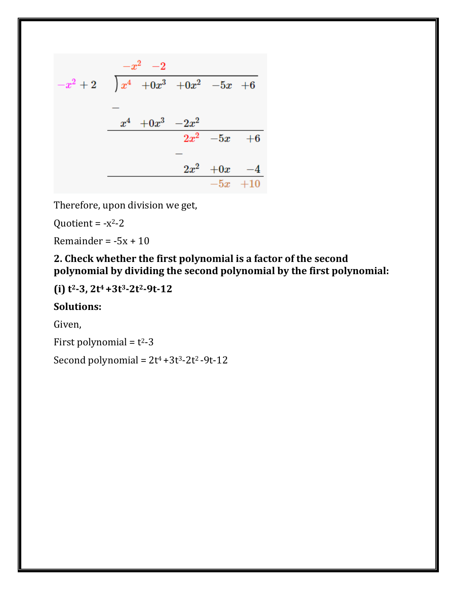$$
\begin{array}{r|rrrr}\n-x^2 & -2 & \\
-x^2 & +2 & \n\end{array}\n\quad\n\begin{array}{r|rrrr}\nx^4 & +0x^3 & +0x^2 & -5x & +6 \\
\hline\n& -2x^4 & & \\
\hline\n& -2x^2 & -5x & +6 \\
\hline\n& -2x^2 & +0x & -4 \\
\hline\n& -5x & +10 & \n\end{array}
$$

Therefore, upon division we get,

Quotient =  $-x^2-2$ 

Remainder =  $-5x + 10$ 

**2. Check whether the first polynomial is a factor of the second polynomial by dividing the second polynomial by the first polynomial:**

**(i) t2-3, 2t<sup>4</sup> +3t3-2t2-9t-12**

#### **Solutions:**

Given,

First polynomial =  $t^2-3$ 

Second polynomial =  $2t^4 + 3t^3 - 2t^2 - 9t - 12$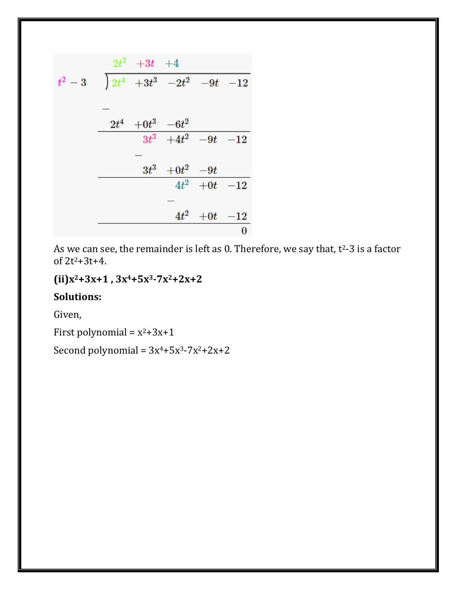$$
t^{2}-3 \t\begin{array}{rrrrr}\n2t^{2} & +3t & +4 \\
t^{2}-3 & \t\end{array}\n\begin{array}{rrrrr}\n2t^{4} & +3t^{3} & -2t^{2} & -9t & -12 \\
\hline\n& -2t^{4} & +0t^{3} & -6t^{2} & \\
& & 3t^{3} & +4t^{2} & -9t & -12 \\
& & & 4t^{2} & +0t & -12 \\
\hline\n& & & 4t^{2} & +0t & -12 \\
& & & & 0\n\end{array}
$$

As we can see, the remainder is left as 0. Therefore, we say that, t <sup>2</sup>-3 is a factor of 2t2+3t+4.

**(ii)x2+3x+1 , 3x4+5x3-7x2+2x+2**

### **Solutions:**

Given,

First polynomial =  $x^2+3x+1$ 

Second polynomial =  $3x^4 + 5x^3 - 7x^2 + 2x + 2$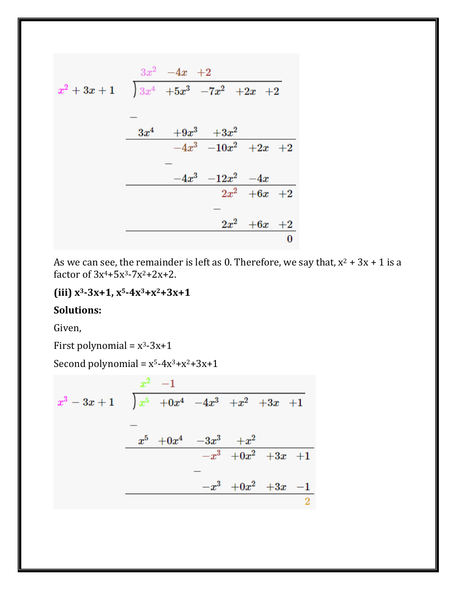$$
x^{2} + 3x + 1 \t 3x^{4} + 5x^{3} - 7x^{2} + 2x + 2
$$
  
\n
$$
- \t 3x^{4} + 9x^{3} + 3x^{2}
$$
  
\n
$$
- 4x^{3} - 10x^{2} + 2x + 2
$$
  
\n
$$
- 4x^{3} - 12x^{2} - 4x
$$
  
\n
$$
2x^{2} + 6x + 2
$$
  
\n
$$
- 2x^{2} + 6x + 2
$$
  
\n
$$
0
$$

As we can see, the remainder is left as 0. Therefore, we say that,  $x^2 + 3x + 1$  is a factor of  $3x^4 + 5x^3 - 7x^2 + 2x + 2$ .

#### **(iii) x3-3x+1, x5-4x3+x2+3x+1**

#### **Solutions:**

Given,

First polynomial =  $x^3-3x+1$ 

Second polynomial =  $x^5-4x^3+x^2+3x+1$ 

$$
\begin{array}{r} x^2 -1 \\ x^3 -3x +1 \end{array} \qquad \begin{array}{|ccccccccccccccccccc|}\hline x^5 & +0x^4 & -4x^3 & +x^2 & +3x & +1 \\ \hline - \\ - \\ x^5 & +0x^4 & -3x^3 & +x^2 & \\ \hline - \\ - \\ - \\ - \\ -x^3 & +0x^2 & +3x & +1 \\ \hline \end{array}
$$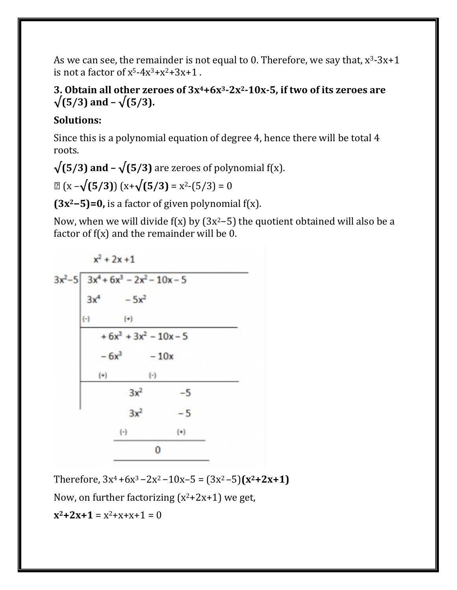As we can see, the remainder is not equal to 0. Therefore, we say that,  $x^3-3x+1$ is not a factor of  $x^5 - 4x^3 + x^2 + 3x + 1$ .

#### **3. Obtain all other zeroes of 3x4+6x3-2x2-10x-5, if two of its zeroes are √(5/3) and – √(5/3).**

### **Solutions:**

Since this is a polynomial equation of degree 4, hence there will be total 4 roots.

 $\sqrt{(5/3)}$  and  $-\sqrt{(5/3)}$  are zeroes of polynomial f(x).

**⇒** (x –**√(5/3)**) (x+**√(5/3)** = x2-(5/3) = 0

**(3x2−5)=0,** is a factor of given polynomial f(x).

Now, when we will divide f(x) by (3x<sup>2</sup>-5) the quotient obtained will also be a factor of f(x) and the remainder will be 0.

$$
x^{2} + 2x + 1
$$
\n
$$
3x^{2}-5 \overline{\smash{\big)}\begin{array}{|l|}\n3x^{4} + 6x^{3} - 2x^{2} - 10x - 5 \\
3x^{4} - 5x^{2} \\
\hline\n\end{array}}
$$
\n
$$
+ 6x^{3} + 3x^{2} - 10x - 5
$$
\n
$$
- 6x^{3} - 10x
$$
\n
$$
\begin{array}{|l|}\n\hline\n\end{array}
$$
\n
$$
3x^{2} - 5
$$
\n
$$
\begin{array}{|l|}\n\hline\n\end{array}
$$
\n
$$
3x^{2} - 5
$$
\n
$$
\begin{array}{|l|}\n\hline\n\end{array}
$$
\n
$$
\begin{array}{|l|}\n\hline\n\end{array}
$$
\n
$$
\begin{array}{|l|}\n\hline\n\end{array}
$$

Therefore,  $3x^4 + 6x^3 - 2x^2 - 10x - 5 = (3x^2 - 5)(x^2 + 2x + 1)$ 

Now, on further factorizing  $(x^2+2x+1)$  we get,

 $x^2+2x+1 = x^2+x+x+1 = 0$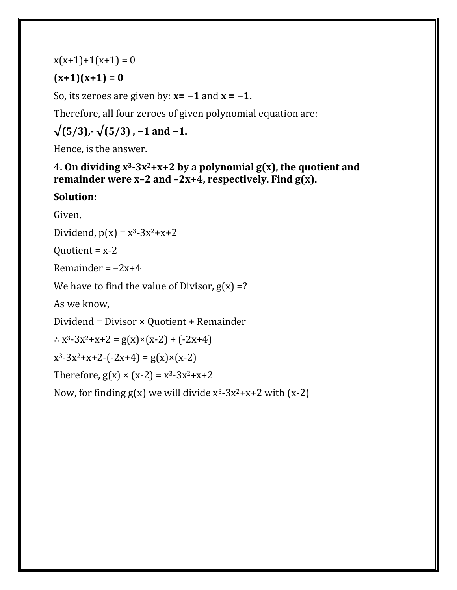#### $x(x+1)+1(x+1) = 0$

## $(x+1)(x+1) = 0$

So, its zeroes are given by: **x= −1** and **x = −1.**

Therefore, all four zeroes of given polynomial equation are:

$$
\sqrt{(5/3)}
$$
,  $\sqrt{(5/3)}$ , -1 and -1.

Hence, is the answer.

**4. On dividing x3-3x2+x+2 by a polynomial g(x), the quotient and remainder were x–2 and –2x+4, respectively. Find g(x).**

### **Solution:**

Given,

Dividend,  $p(x) = x^3-3x^2+x+2$ 

Quotient =  $x-2$ 

Remainder  $=-2x+4$ 

We have to find the value of Divisor,  $g(x) = ?$ 

As we know,

Dividend = Divisor × Quotient + Remainder

∴  $x^3-3x^2+x+2 = g(x) \times (x-2) + (-2x+4)$ 

 $x^3-3x^2+x+2-(-2x+4) = g(x) \times (x-2)$ 

Therefore,  $g(x) \times (x-2) = x^3-3x^2+x+2$ 

Now, for finding  $g(x)$  we will divide  $x^3-3x^2+x+2$  with  $(x-2)$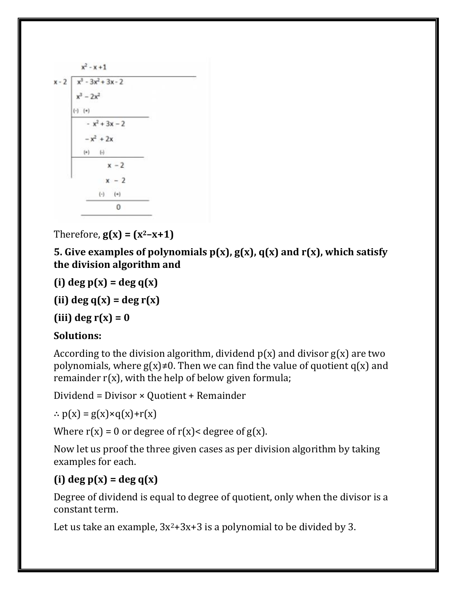| $x - 2 \mid x^3 - 3x^2 + 3x - 2$ |                  |  |
|----------------------------------|------------------|--|
| $x^3 - 2x^2$                     |                  |  |
| $(-)$ $(+)$                      |                  |  |
|                                  | $- x^2 + 3x - 2$ |  |
| $-x^2 + 2x$                      |                  |  |
| $(+)$ $(-)$                      |                  |  |
|                                  | $x - 2$          |  |
|                                  | $x - 2$          |  |
|                                  | $(-)$ $(+)$      |  |
|                                  | 0                |  |

Therefore,  $g(x) = (x^2-x+1)$ 

**5. Give examples of polynomials p(x), g(x), q(x) and r(x), which satisfy the division algorithm and**

**(i) deg p(x) = deg q(x)**

**(ii) deg q(x) = deg r(x)**

 $(iii)$  deg  $r(x) = 0$ 

#### **Solutions:**

According to the division algorithm, dividend  $p(x)$  and divisor  $g(x)$  are two polynomials, where  $g(x) \neq 0$ . Then we can find the value of quotient  $g(x)$  and remainder  $r(x)$ , with the help of below given formula;

Dividend = Divisor × Quotient + Remainder

 $\therefore$  p(x) = g(x)×q(x)+r(x)

Where  $r(x) = 0$  or degree of  $r(x) <$  degree of  $g(x)$ .

Now let us proof the three given cases as per division algorithm by taking examples for each.

## **(i) deg p(x) = deg q(x)**

Degree of dividend is equal to degree of quotient, only when the divisor is a constant term.

Let us take an example,  $3x^2+3x+3$  is a polynomial to be divided by 3.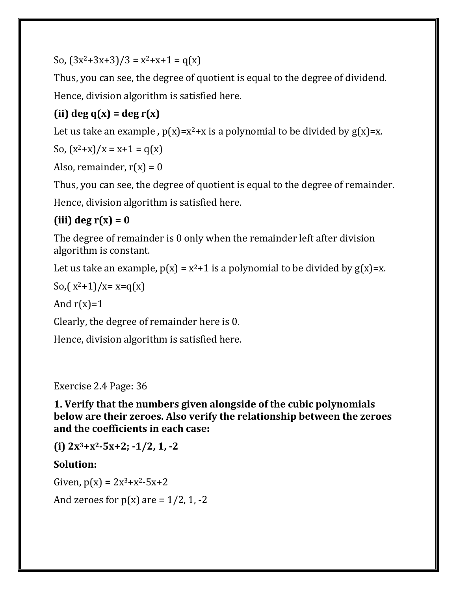So,  $(3x^2+3x+3)/3 = x^2+x+1 = q(x)$ 

Thus, you can see, the degree of quotient is equal to the degree of dividend. Hence, division algorithm is satisfied here.

# **(ii) deg q(x) = deg r(x)**

Let us take an example,  $p(x)=x^2+x$  is a polynomial to be divided by  $g(x)=x$ .

So, 
$$
(x^2+x)/x = x+1 = q(x)
$$

Also, remainder,  $r(x) = 0$ 

Thus, you can see, the degree of quotient is equal to the degree of remainder.

Hence, division algorithm is satisfied here.

### **(iii) deg r(x) = 0**

The degree of remainder is 0 only when the remainder left after division algorithm is constant.

Let us take an example,  $p(x) = x^2 + 1$  is a polynomial to be divided by  $g(x)=x$ .

So,( $x^2+1$ )/ $x=x=q(x)$ 

And  $r(x)=1$ 

Clearly, the degree of remainder here is 0.

Hence, division algorithm is satisfied here.

Exercise 2.4 Page: 36

**1. Verify that the numbers given alongside of the cubic polynomials below are their zeroes. Also verify the relationship between the zeroes and the coefficients in each case:**

**(i) 2x3+x2-5x+2; -1/2, 1, -2**

#### **Solution:**

Given,  $p(x) = 2x^3 + x^2 - 5x + 2$ 

And zeroes for  $p(x)$  are = 1/2, 1, -2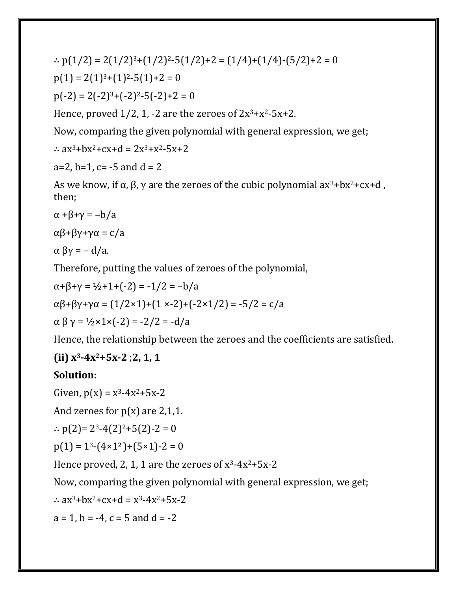∴  $p(1/2) = 2(1/2)^{3}+(1/2)^{2}-5(1/2)+2 = (1/4)+(1/4)-(5/2)+2 = 0$  $p(1) = 2(1)^{3}+(1)^{2}-5(1)+2=0$  $p(-2) = 2(-2)^{3}+(-2)^{2}-5(-2)+2=0$ Hence, proved  $1/2$ , 1, -2 are the zeroes of  $2x^3 + x^2 - 5x + 2$ .

Now, comparing the given polynomial with general expression, we get;

∴  $ax^3+bx^2+cx+d = 2x^3+x^2-5x+2$ 

 $a=2$ ,  $b=1$ ,  $c=-5$  and  $d=2$ 

As we know, if  $\alpha$ ,  $\beta$ ,  $\gamma$  are the zeroes of the cubic polynomial ax<sup>3</sup>+bx<sup>2</sup>+cx+d, then;

$$
\alpha + \beta + \gamma = -b/a
$$

$$
\alpha\beta + \beta\gamma + \gamma\alpha = c/a
$$

 $\alpha \beta \gamma = -d/a$ .

Therefore, putting the values of zeroes of the polynomial,

$$
\alpha + \beta + \gamma = \frac{1}{2} + 1 + (-2) = -\frac{1}{2} = -\frac{1}{8}
$$
  
\n
$$
\alpha\beta + \beta\gamma + \gamma\alpha = (1/2 \times 1) + (1 \times -2) + (-2 \times 1/2) = -\frac{5}{2} = c/a
$$
  
\n
$$
\alpha\beta\gamma = \frac{1}{2} \times 1 \times (-2) = -\frac{2}{2} = -d/a
$$

Hence, the relationship between the zeroes and the coefficients are satisfied.

#### **(ii) x3-4x2+5x-2** ;**2, 1, 1**

#### **Solution:**

Given,  $p(x) = x^3-4x^2+5x-2$ 

And zeroes for  $p(x)$  are 2,1,1.

∴  $p(2) = 2^3-4(2)^2+5(2)-2=0$ 

 $p(1) = 1<sup>3</sup>-(4\times1<sup>2</sup>)+(5\times1)-2=0$ 

Hence proved, 2, 1, 1 are the zeroes of  $x^3-4x^2+5x-2$ 

Now, comparing the given polynomial with general expression, we get;

∴  $ax^3+bx^2+cx+d = x^3-4x^2+5x-2$ 

 $a = 1$ ,  $b = -4$ ,  $c = 5$  and  $d = -2$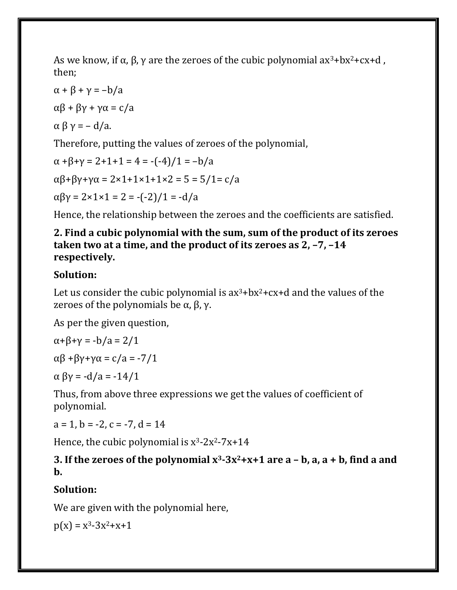As we know, if  $\alpha$ ,  $\beta$ ,  $\gamma$  are the zeroes of the cubic polynomial ax<sup>3</sup>+bx<sup>2</sup>+cx+d, then;

$$
\alpha + \beta + \gamma = -b/a
$$
  
\n
$$
\alpha\beta + \beta\gamma + \gamma\alpha = c/a
$$
  
\n
$$
\alpha\beta\gamma = -d/a.
$$

Therefore, putting the values of zeroes of the polynomial,

 $\alpha + \beta + \gamma = 2 + 1 + 1 = 4 = -(-4)/1 = -b/a$ αβ+βγ+γα = 2×1+1×1+1×2 = 5 = 5/1= c/a  $\alpha\beta\gamma = 2 \times 1 \times 1 = 2 = -(-2)/1 = -d/a$ 

Hence, the relationship between the zeroes and the coefficients are satisfied.

**2. Find a cubic polynomial with the sum, sum of the product of its zeroes taken two at a time, and the product of its zeroes as 2, –7, –14 respectively.**

### **Solution:**

Let us consider the cubic polynomial is  $ax^3+bx^2+cx+d$  and the values of the zeroes of the polynomials be α, β, γ.

As per the given question,

$$
\alpha + \beta + \gamma = -b/a = 2/1
$$

αβ +βγ+γα = c/a = -7/1

α βγ = -d/a = -14/1

Thus, from above three expressions we get the values of coefficient of polynomial.

 $a = 1$ ,  $b = -2$ ,  $c = -7$ ,  $d = 14$ 

Hence, the cubic polynomial is  $x^3-2x^2-7x+14$ 

#### **3. If the zeroes of the polynomial x3-3x2+x+1 are a – b, a, a + b, find a and b.**

## **Solution:**

We are given with the polynomial here,

 $p(x) = x^3 - 3x^2 + x + 1$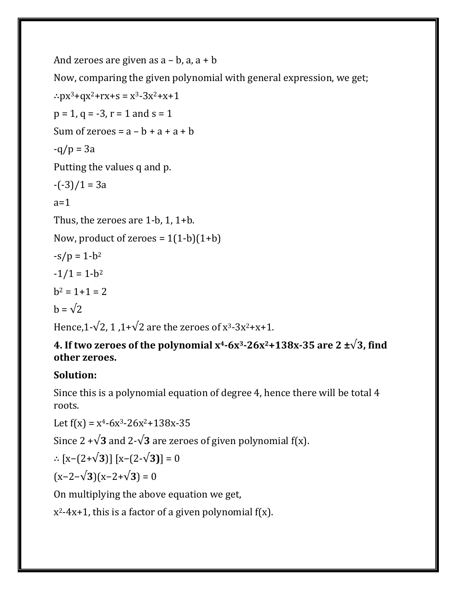```
And zeroes are given as a - b, a, a + bNow, comparing the given polynomial with general expression, we get;
∴px^3+qx^2+rx+s = x^3-3x^2+x+1p = 1, q = -3, r = 1 and s = 1Sum of zeroes = a - b + a + a + b-q/p = 3aPutting the values q and p.
-(-3)/1 = 3aa=1Thus, the zeroes are 1-b, 1, 1+b.
Now, product of zeroes = 1(1-b)(1+b)-s/p = 1-b^2-1/1 = 1-b^2b^2 = 1 + 1 = 2h = \sqrt{2}Hence,1-\sqrt{2}, 1,1+\sqrt{2} are the zeroes of x^3-3x^2+x+1.
```
### **4. If two zeroes of the polynomial**  $x^4$ **-6x<sup>3</sup>-26x<sup>2</sup>+138x-35 are 2**  $\pm\sqrt{3}$ **, find other zeroes.**

### **Solution:**

Since this is a polynomial equation of degree 4, hence there will be total 4 roots.

Let  $f(x) = x^4-6x^3-26x^2+138x-35$ 

Since  $2 + \sqrt{3}$  and  $2 - \sqrt{3}$  are zeroes of given polynomial f(x).

$$
\therefore [x-(2+\sqrt{3})] [x-(2-\sqrt{3})] = 0
$$

(x−2−√**3**)(x−2+√**3**) = 0

On multiplying the above equation we get,

x 2-4x+1, this is a factor of a given polynomial f(x).